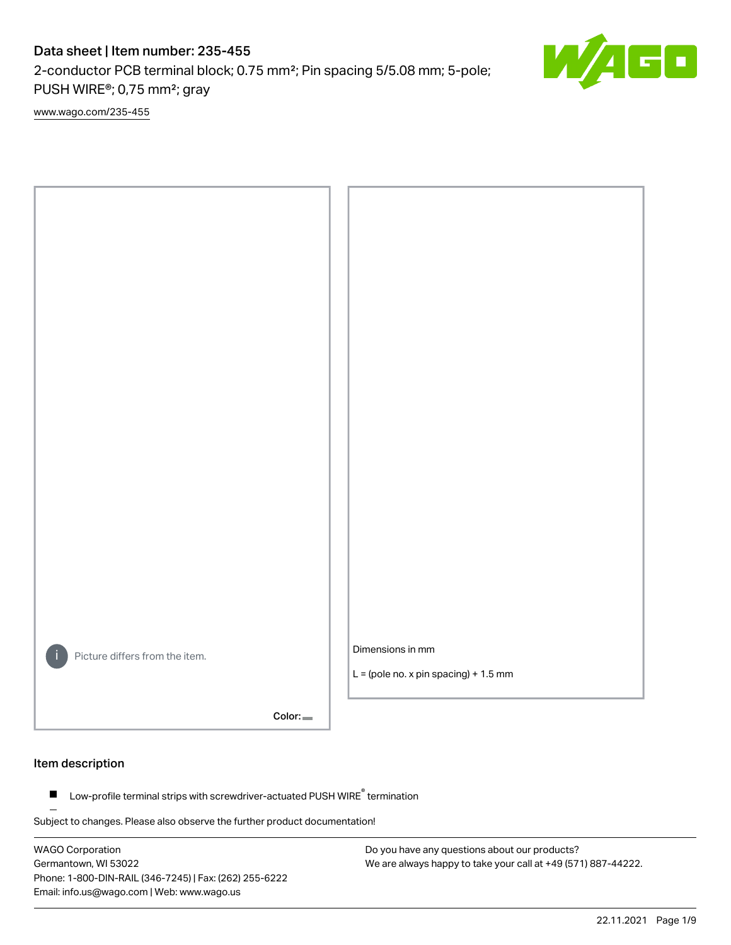2-conductor PCB terminal block; 0.75 mm²; Pin spacing 5/5.08 mm; 5-pole; PUSH WIRE®; 0,75 mm²; gray

[www.wago.com/235-455](http://www.wago.com/235-455)



Color:

### Item description

Low-profile terminal strips with screwdriver-actuated PUSH WIRE® termination  $\blacksquare$ 

Subject to changes. Please also observe the further product documentation!

WAGO Corporation Germantown, WI 53022 Phone: 1-800-DIN-RAIL (346-7245) | Fax: (262) 255-6222 Email: info.us@wago.com | Web: www.wago.us

Do you have any questions about our products? We are always happy to take your call at +49 (571) 887-44222.

60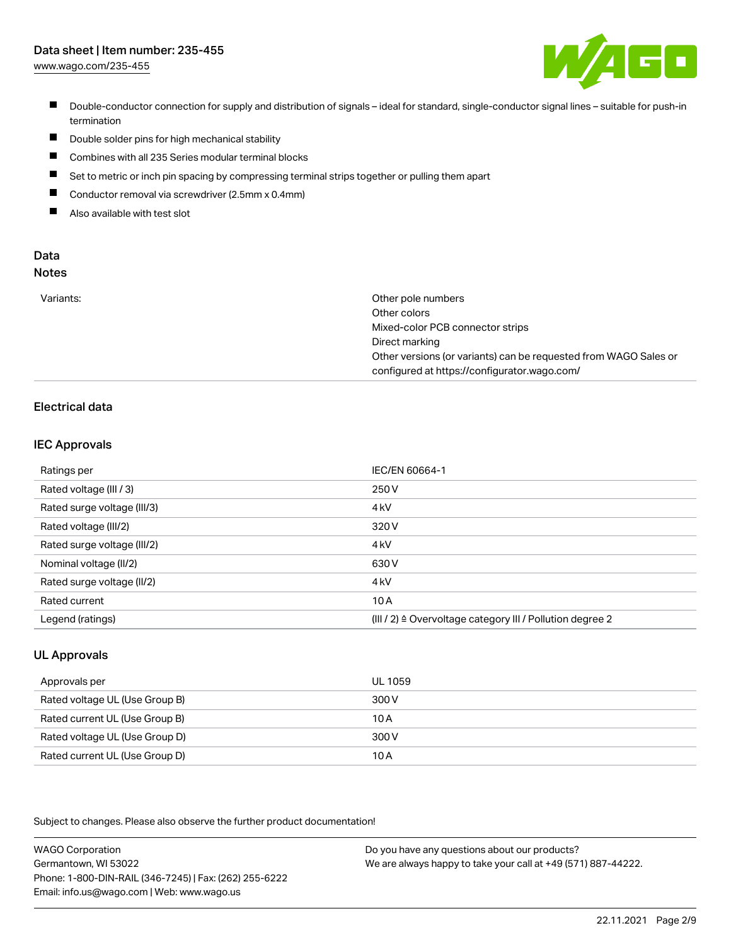[www.wago.com/235-455](http://www.wago.com/235-455)



- Double-conductor connection for supply and distribution of signals ideal for standard, single-conductor signal lines suitable for push-in termination
- $\blacksquare$ Double solder pins for high mechanical stability
- $\blacksquare$ Combines with all 235 Series modular terminal blocks
- $\blacksquare$ Set to metric or inch pin spacing by compressing terminal strips together or pulling them apart
- $\blacksquare$ Conductor removal via screwdriver (2.5mm x 0.4mm)
- $\blacksquare$ Also available with test slot

#### Data Notes

|  | . . | . .<br>÷<br>۰. | I<br>×<br>۰. |  |
|--|-----|----------------|--------------|--|
|  |     |                |              |  |
|  |     |                |              |  |

| Variants: | Other pole numbers                                               |
|-----------|------------------------------------------------------------------|
|           | Other colors                                                     |
|           | Mixed-color PCB connector strips                                 |
|           | Direct marking                                                   |
|           | Other versions (or variants) can be requested from WAGO Sales or |
|           | configured at https://configurator.wago.com/                     |

## Electrical data

## IEC Approvals

| Ratings per                 | IEC/EN 60664-1                                                        |
|-----------------------------|-----------------------------------------------------------------------|
| Rated voltage (III / 3)     | 250 V                                                                 |
| Rated surge voltage (III/3) | 4 <sub>k</sub> V                                                      |
| Rated voltage (III/2)       | 320 V                                                                 |
| Rated surge voltage (III/2) | 4 <sub>k</sub> V                                                      |
| Nominal voltage (II/2)      | 630 V                                                                 |
| Rated surge voltage (II/2)  | 4 <sub>k</sub> V                                                      |
| Rated current               | 10A                                                                   |
| Legend (ratings)            | $(III / 2)$ $\triangle$ Overvoltage category III / Pollution degree 2 |

## UL Approvals

| Approvals per                  | UL 1059 |
|--------------------------------|---------|
| Rated voltage UL (Use Group B) | 300 V   |
| Rated current UL (Use Group B) | 10 A    |
| Rated voltage UL (Use Group D) | 300 V   |
| Rated current UL (Use Group D) | 10A     |

Subject to changes. Please also observe the further product documentation!

| <b>WAGO Corporation</b>                                | Do you have any questions about our products?                 |
|--------------------------------------------------------|---------------------------------------------------------------|
| Germantown, WI 53022                                   | We are always happy to take your call at +49 (571) 887-44222. |
| Phone: 1-800-DIN-RAIL (346-7245)   Fax: (262) 255-6222 |                                                               |
| Email: info.us@wago.com   Web: www.wago.us             |                                                               |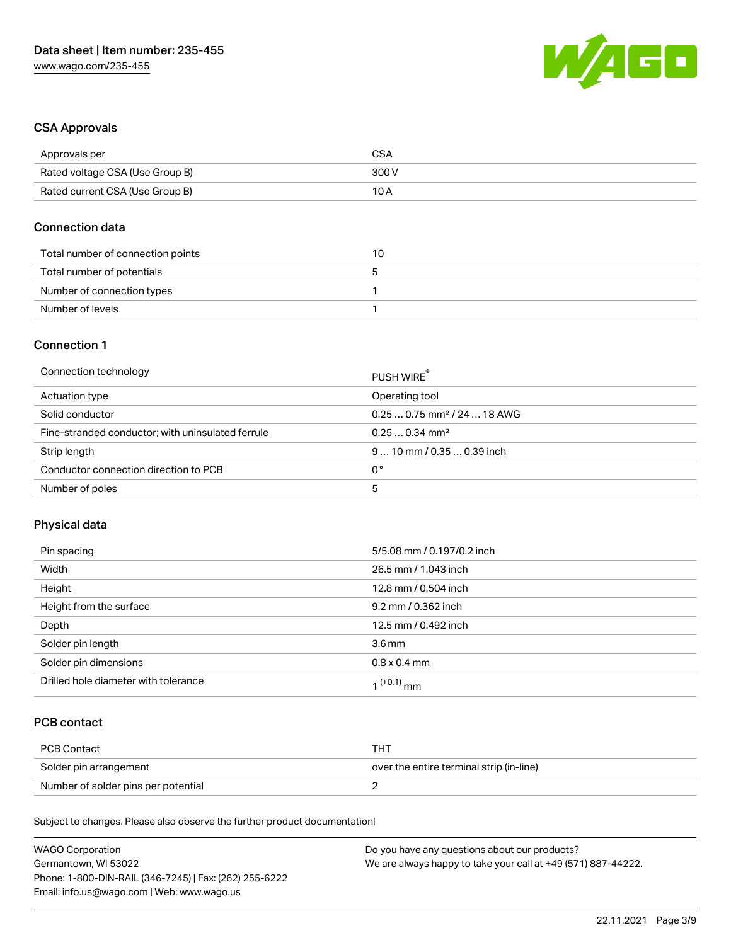

## CSA Approvals

| Approvals per                   | CSA   |
|---------------------------------|-------|
| Rated voltage CSA (Use Group B) | 300 V |
| Rated current CSA (Use Group B) | 10 A  |

### Connection data

| Total number of connection points | 10 |
|-----------------------------------|----|
| Total number of potentials        | G  |
| Number of connection types        |    |
| Number of levels                  |    |

## Connection 1

| Connection technology                             | PUSH WIRE                               |
|---------------------------------------------------|-----------------------------------------|
| Actuation type                                    | Operating tool                          |
| Solid conductor                                   | $0.250.75$ mm <sup>2</sup> / 24  18 AWG |
| Fine-stranded conductor; with uninsulated ferrule | $0.250.34$ mm <sup>2</sup>              |
| Strip length                                      | $910$ mm / 0.35  0.39 inch              |
| Conductor connection direction to PCB             | 0°                                      |
| Number of poles                                   | 5                                       |

## Physical data

| Pin spacing                          | 5/5.08 mm / 0.197/0.2 inch |
|--------------------------------------|----------------------------|
| Width                                | 26.5 mm / 1.043 inch       |
| Height                               | 12.8 mm / 0.504 inch       |
| Height from the surface              | 9.2 mm / 0.362 inch        |
| Depth                                | 12.5 mm / 0.492 inch       |
| Solder pin length                    | 3.6 <sub>mm</sub>          |
| Solder pin dimensions                | $0.8 \times 0.4$ mm        |
| Drilled hole diameter with tolerance | $1^{(+0.1)}$ mm            |

## PCB contact

| PCB Contact                         | TH .                                     |
|-------------------------------------|------------------------------------------|
| Solder pin arrangement              | over the entire terminal strip (in-line) |
| Number of solder pins per potential |                                          |

Subject to changes. Please also observe the further product documentation!

| <b>WAGO Corporation</b>                                | Do you have any questions about our products?                 |
|--------------------------------------------------------|---------------------------------------------------------------|
| Germantown, WI 53022                                   | We are always happy to take your call at +49 (571) 887-44222. |
| Phone: 1-800-DIN-RAIL (346-7245)   Fax: (262) 255-6222 |                                                               |
| Email: info.us@wago.com   Web: www.wago.us             |                                                               |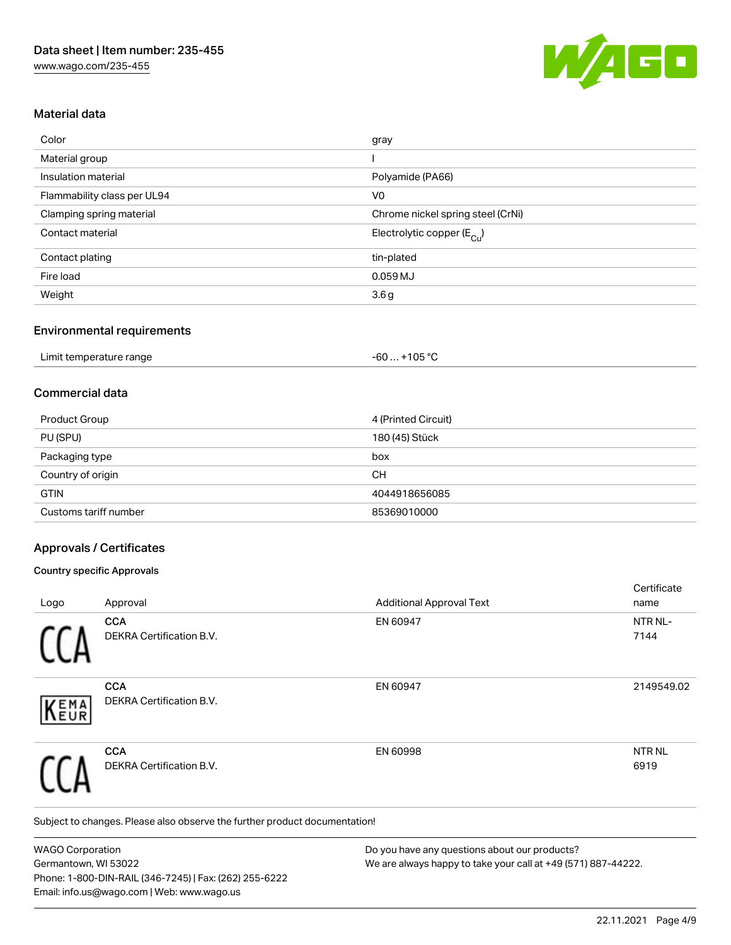

## Material data

| Color                       | gray                                  |
|-----------------------------|---------------------------------------|
| Material group              |                                       |
| Insulation material         | Polyamide (PA66)                      |
| Flammability class per UL94 | V <sub>0</sub>                        |
| Clamping spring material    | Chrome nickel spring steel (CrNi)     |
| Contact material            | Electrolytic copper $(E_{\text{Cl}})$ |
| Contact plating             | tin-plated                            |
| Fire load                   | $0.059$ MJ                            |
| Weight                      | 3.6 <sub>g</sub>                      |

#### Environmental requirements

| Limit temperature range | +105 $^{\circ}$ C<br>$-60$ $-60$ |  |
|-------------------------|----------------------------------|--|
|-------------------------|----------------------------------|--|

## Commercial data

| Product Group         | 4 (Printed Circuit) |
|-----------------------|---------------------|
| PU (SPU)              | 180 (45) Stück      |
| Packaging type        | box                 |
| Country of origin     | CН                  |
| <b>GTIN</b>           | 4044918656085       |
| Customs tariff number | 85369010000         |

### Approvals / Certificates

#### Country specific Approvals

|            |                                        |                                 | Certificate               |
|------------|----------------------------------------|---------------------------------|---------------------------|
| Logo       | Approval                               | <b>Additional Approval Text</b> | name                      |
|            | <b>CCA</b><br>DEKRA Certification B.V. | EN 60947                        | NTR NL-<br>7144           |
| EMA<br>EUR | <b>CCA</b><br>DEKRA Certification B.V. | EN 60947                        | 2149549.02                |
|            | <b>CCA</b><br>DEKRA Certification B.V. | EN 60998                        | NTR <sub>NL</sub><br>6919 |

Subject to changes. Please also observe the further product documentation!

WAGO Corporation Germantown, WI 53022 Phone: 1-800-DIN-RAIL (346-7245) | Fax: (262) 255-6222 Email: info.us@wago.com | Web: www.wago.us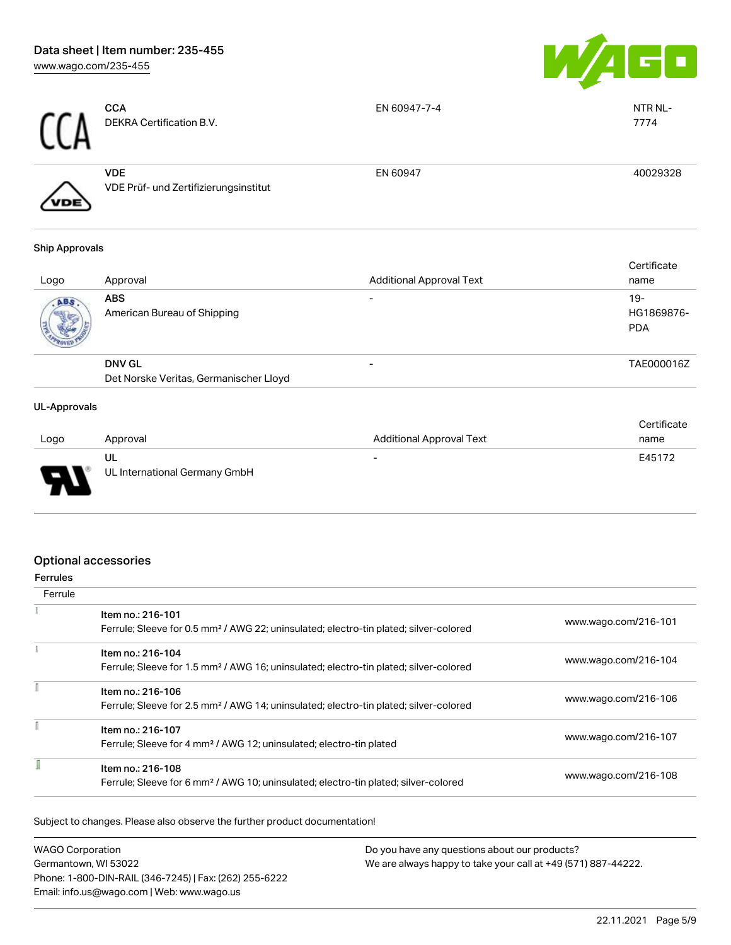

| <b>CCA</b> | <b>CCA</b><br>DEKRA Certification B.V.              | EN 60947-7-4 | NTR NL-<br>7774 |
|------------|-----------------------------------------------------|--------------|-----------------|
| /VDE       | <b>VDE</b><br>VDE Prüf- und Zertifizierungsinstitut | EN 60947     | 40029328        |

#### Ship Approvals

| Logo | Approval                                                | <b>Additional Approval Text</b> | Certificate<br>name               |
|------|---------------------------------------------------------|---------------------------------|-----------------------------------|
| ABS  | <b>ABS</b><br>American Bureau of Shipping               |                                 | $19-$<br>HG1869876-<br><b>PDA</b> |
|      | <b>DNV GL</b><br>Det Norske Veritas, Germanischer Lloyd | $\overline{\phantom{0}}$        | TAE000016Z                        |

#### UL-Approvals

| Logo   | Approval                            | <b>Additional Approval Text</b> | Certificate<br>name |
|--------|-------------------------------------|---------------------------------|---------------------|
| $\Box$ | UL<br>UL International Germany GmbH | $\overline{\phantom{0}}$        | E45172              |

# Optional accessories

| errules |
|---------|

| Ferrule |                                                                                                   |                      |
|---------|---------------------------------------------------------------------------------------------------|----------------------|
|         | Item no.: 216-101                                                                                 |                      |
|         | Ferrule; Sleeve for 0.5 mm <sup>2</sup> / AWG 22; uninsulated; electro-tin plated; silver-colored | www.wago.com/216-101 |
|         | Item no.: 216-104                                                                                 |                      |
|         | Ferrule; Sleeve for 1.5 mm <sup>2</sup> / AWG 16; uninsulated; electro-tin plated; silver-colored | www.wago.com/216-104 |
|         | Item no.: 216-106                                                                                 |                      |
|         | Ferrule; Sleeve for 2.5 mm <sup>2</sup> / AWG 14; uninsulated; electro-tin plated; silver-colored | www.wago.com/216-106 |
|         | Item no.: 216-107                                                                                 |                      |
|         | Ferrule; Sleeve for 4 mm <sup>2</sup> / AWG 12; uninsulated; electro-tin plated                   | www.wago.com/216-107 |
|         | Item no.: 216-108                                                                                 |                      |
|         | Ferrule; Sleeve for 6 mm <sup>2</sup> / AWG 10; uninsulated; electro-tin plated; silver-colored   | www.wago.com/216-108 |

Subject to changes. Please also observe the further product documentation!

| <b>WAGO Corporation</b>                                | Do you have any questions about our products?                 |
|--------------------------------------------------------|---------------------------------------------------------------|
| Germantown. WI 53022                                   | We are always happy to take your call at +49 (571) 887-44222. |
| Phone: 1-800-DIN-RAIL (346-7245)   Fax: (262) 255-6222 |                                                               |
| Email: info.us@wago.com   Web: www.wago.us             |                                                               |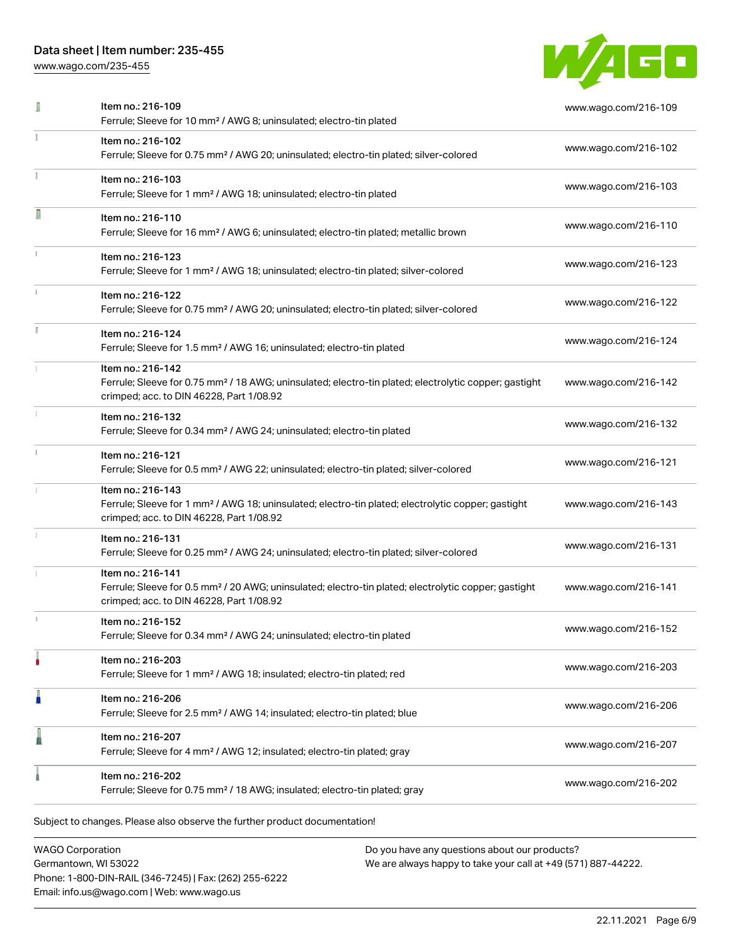[www.wago.com/235-455](http://www.wago.com/235-455)



|    | Item no.: 216-109<br>Ferrule; Sleeve for 10 mm <sup>2</sup> / AWG 8; uninsulated; electro-tin plated                                                                               | www.wago.com/216-109 |
|----|------------------------------------------------------------------------------------------------------------------------------------------------------------------------------------|----------------------|
|    | Item no.: 216-102<br>Ferrule; Sleeve for 0.75 mm <sup>2</sup> / AWG 20; uninsulated; electro-tin plated; silver-colored                                                            | www.wago.com/216-102 |
|    | Item no.: 216-103<br>Ferrule; Sleeve for 1 mm <sup>2</sup> / AWG 18; uninsulated; electro-tin plated                                                                               | www.wago.com/216-103 |
| Л  | Item no.: 216-110<br>Ferrule; Sleeve for 16 mm <sup>2</sup> / AWG 6; uninsulated; electro-tin plated; metallic brown                                                               | www.wago.com/216-110 |
|    | Item no.: 216-123<br>Ferrule; Sleeve for 1 mm <sup>2</sup> / AWG 18; uninsulated; electro-tin plated; silver-colored                                                               | www.wago.com/216-123 |
|    | Item no.: 216-122<br>Ferrule; Sleeve for 0.75 mm <sup>2</sup> / AWG 20; uninsulated; electro-tin plated; silver-colored                                                            | www.wago.com/216-122 |
| ĭ. | Item no.: 216-124<br>Ferrule; Sleeve for 1.5 mm <sup>2</sup> / AWG 16; uninsulated; electro-tin plated                                                                             | www.wago.com/216-124 |
|    | Item no.: 216-142<br>Ferrule; Sleeve for 0.75 mm <sup>2</sup> / 18 AWG; uninsulated; electro-tin plated; electrolytic copper; gastight<br>crimped; acc. to DIN 46228, Part 1/08.92 | www.wago.com/216-142 |
|    | Item no.: 216-132<br>Ferrule; Sleeve for 0.34 mm <sup>2</sup> / AWG 24; uninsulated; electro-tin plated                                                                            | www.wago.com/216-132 |
|    | Item no.: 216-121<br>Ferrule; Sleeve for 0.5 mm <sup>2</sup> / AWG 22; uninsulated; electro-tin plated; silver-colored                                                             | www.wago.com/216-121 |
|    | Item no.: 216-143<br>Ferrule; Sleeve for 1 mm <sup>2</sup> / AWG 18; uninsulated; electro-tin plated; electrolytic copper; gastight<br>crimped; acc. to DIN 46228, Part 1/08.92    | www.wago.com/216-143 |
|    | Item no.: 216-131<br>Ferrule; Sleeve for 0.25 mm <sup>2</sup> / AWG 24; uninsulated; electro-tin plated; silver-colored                                                            | www.wago.com/216-131 |
|    | Item no.: 216-141<br>Ferrule; Sleeve for 0.5 mm <sup>2</sup> / 20 AWG; uninsulated; electro-tin plated; electrolytic copper; gastight<br>crimped; acc. to DIN 46228, Part 1/08.92  | www.wago.com/216-141 |
|    | Item no.: 216-152<br>Ferrule; Sleeve for 0.34 mm <sup>2</sup> / AWG 24; uninsulated; electro-tin plated                                                                            | www.wago.com/216-152 |
|    | Item no.: 216-203<br>Ferrule; Sleeve for 1 mm <sup>2</sup> / AWG 18; insulated; electro-tin plated; red                                                                            | www.wago.com/216-203 |
| Ä  | Item no.: 216-206<br>Ferrule; Sleeve for 2.5 mm <sup>2</sup> / AWG 14; insulated; electro-tin plated; blue                                                                         | www.wago.com/216-206 |
|    | Item no.: 216-207<br>Ferrule; Sleeve for 4 mm <sup>2</sup> / AWG 12; insulated; electro-tin plated; gray                                                                           | www.wago.com/216-207 |
|    | Item no.: 216-202<br>Ferrule; Sleeve for 0.75 mm <sup>2</sup> / 18 AWG; insulated; electro-tin plated; gray                                                                        | www.wago.com/216-202 |

WAGO Corporation Germantown, WI 53022 Phone: 1-800-DIN-RAIL (346-7245) | Fax: (262) 255-6222 Email: info.us@wago.com | Web: www.wago.us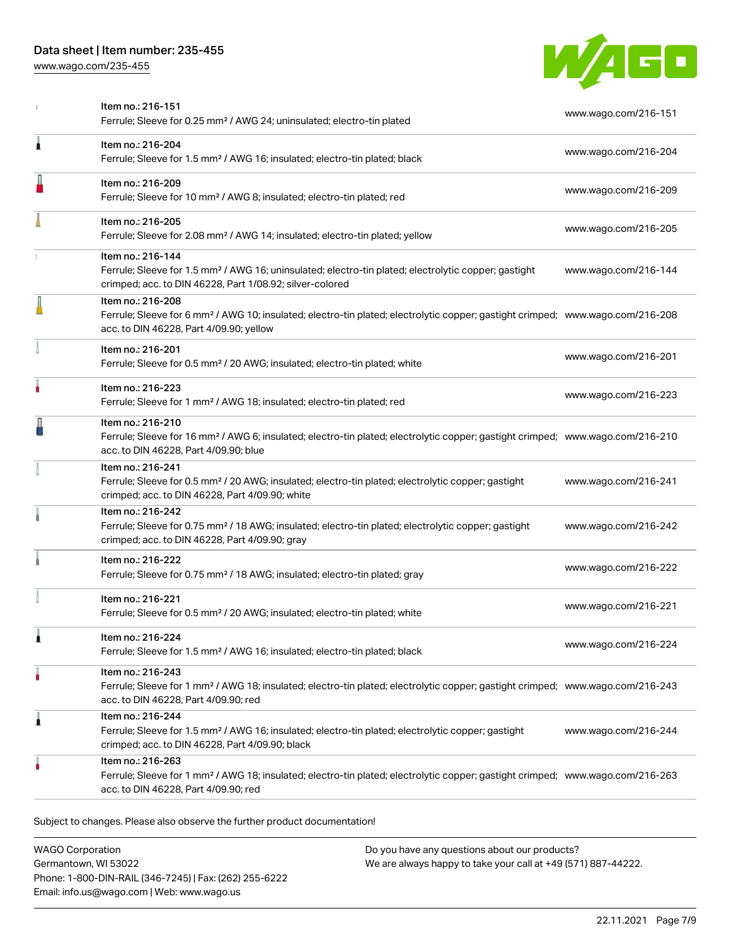[www.wago.com/235-455](http://www.wago.com/235-455)



|   | Item no.: 216-151<br>Ferrule; Sleeve for 0.25 mm <sup>2</sup> / AWG 24; uninsulated; electro-tin plated                                                                                                    | www.wago.com/216-151 |
|---|------------------------------------------------------------------------------------------------------------------------------------------------------------------------------------------------------------|----------------------|
| 1 | Item no.: 216-204<br>Ferrule; Sleeve for 1.5 mm <sup>2</sup> / AWG 16; insulated; electro-tin plated; black                                                                                                | www.wago.com/216-204 |
|   | Item no.: 216-209<br>Ferrule; Sleeve for 10 mm <sup>2</sup> / AWG 8; insulated; electro-tin plated; red                                                                                                    | www.wago.com/216-209 |
|   | Item no.: 216-205<br>Ferrule; Sleeve for 2.08 mm <sup>2</sup> / AWG 14; insulated; electro-tin plated; yellow                                                                                              | www.wago.com/216-205 |
|   | Item no.: 216-144<br>Ferrule; Sleeve for 1.5 mm <sup>2</sup> / AWG 16; uninsulated; electro-tin plated; electrolytic copper; gastight<br>crimped; acc. to DIN 46228, Part 1/08.92; silver-colored          | www.wago.com/216-144 |
|   | Item no.: 216-208<br>Ferrule; Sleeve for 6 mm <sup>2</sup> / AWG 10; insulated; electro-tin plated; electrolytic copper; gastight crimped; www.wago.com/216-208<br>acc. to DIN 46228, Part 4/09.90; yellow |                      |
|   | Item no.: 216-201<br>Ferrule; Sleeve for 0.5 mm <sup>2</sup> / 20 AWG; insulated; electro-tin plated; white                                                                                                | www.wago.com/216-201 |
|   | Item no.: 216-223<br>Ferrule; Sleeve for 1 mm <sup>2</sup> / AWG 18; insulated; electro-tin plated; red                                                                                                    | www.wago.com/216-223 |
|   | Item no.: 216-210<br>Ferrule; Sleeve for 16 mm <sup>2</sup> / AWG 6; insulated; electro-tin plated; electrolytic copper; gastight crimped; www.wago.com/216-210<br>acc. to DIN 46228, Part 4/09.90; blue   |                      |
|   | Item no.: 216-241<br>Ferrule; Sleeve for 0.5 mm <sup>2</sup> / 20 AWG; insulated; electro-tin plated; electrolytic copper; gastight<br>crimped; acc. to DIN 46228, Part 4/09.90; white                     | www.wago.com/216-241 |
|   | Item no.: 216-242<br>Ferrule; Sleeve for 0.75 mm <sup>2</sup> / 18 AWG; insulated; electro-tin plated; electrolytic copper; gastight<br>crimped; acc. to DIN 46228, Part 4/09.90; gray                     | www.wago.com/216-242 |
|   | Item no.: 216-222<br>Ferrule; Sleeve for 0.75 mm <sup>2</sup> / 18 AWG; insulated; electro-tin plated; gray                                                                                                | www.wago.com/216-222 |
|   | Item no.: 216-221<br>Ferrule; Sleeve for 0.5 mm <sup>2</sup> / 20 AWG; insulated; electro-tin plated; white                                                                                                | www.wago.com/216-221 |
| 1 | Item no.: 216-224<br>Ferrule; Sleeve for 1.5 mm <sup>2</sup> / AWG 16; insulated; electro-tin plated; black                                                                                                | www.wago.com/216-224 |
|   | Item no.: 216-243<br>Ferrule; Sleeve for 1 mm <sup>2</sup> / AWG 18; insulated; electro-tin plated; electrolytic copper; gastight crimped; www.wago.com/216-243<br>acc. to DIN 46228, Part 4/09.90; red    |                      |
| 1 | Item no.: 216-244<br>Ferrule; Sleeve for 1.5 mm <sup>2</sup> / AWG 16; insulated; electro-tin plated; electrolytic copper; gastight<br>crimped; acc. to DIN 46228, Part 4/09.90; black                     | www.wago.com/216-244 |
|   | Item no.: 216-263<br>Ferrule; Sleeve for 1 mm <sup>2</sup> / AWG 18; insulated; electro-tin plated; electrolytic copper; gastight crimped; www.wago.com/216-263<br>acc. to DIN 46228, Part 4/09.90; red    |                      |

Subject to changes. Please also observe the further product documentation!

WAGO Corporation Germantown, WI 53022 Phone: 1-800-DIN-RAIL (346-7245) | Fax: (262) 255-6222 Email: info.us@wago.com | Web: www.wago.us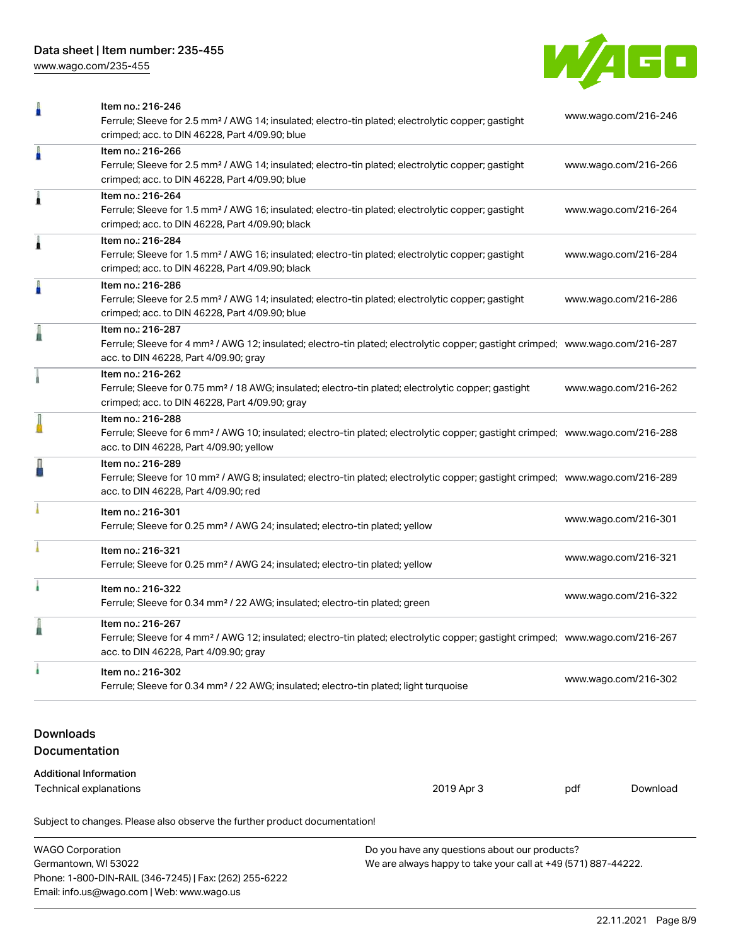[www.wago.com/235-455](http://www.wago.com/235-455)



|                                   | Subject to changes. Please also observe the further product documentation!                                                                                                                                 |     |                      |
|-----------------------------------|------------------------------------------------------------------------------------------------------------------------------------------------------------------------------------------------------------|-----|----------------------|
|                                   | Technical explanations<br>2019 Apr 3                                                                                                                                                                       | pdf | Download             |
|                                   | <b>Additional Information</b>                                                                                                                                                                              |     |                      |
| <b>Downloads</b><br>Documentation |                                                                                                                                                                                                            |     |                      |
|                                   | Ferrule; Sleeve for 0.34 mm <sup>2</sup> / 22 AWG; insulated; electro-tin plated; light turquoise                                                                                                          |     |                      |
| ı                                 | Item no.: 216-302                                                                                                                                                                                          |     | www.wago.com/216-302 |
|                                   | Item no.: 216-267<br>Ferrule; Sleeve for 4 mm <sup>2</sup> / AWG 12; insulated; electro-tin plated; electrolytic copper; gastight crimped; www.wago.com/216-267<br>acc. to DIN 46228, Part 4/09.90; gray   |     |                      |
| i.                                | Item no.: 216-322<br>Ferrule; Sleeve for 0.34 mm <sup>2</sup> / 22 AWG; insulated; electro-tin plated; green                                                                                               |     | www.wago.com/216-322 |
|                                   | Item no.: 216-321<br>Ferrule; Sleeve for 0.25 mm <sup>2</sup> / AWG 24; insulated; electro-tin plated; yellow                                                                                              |     | www.wago.com/216-321 |
|                                   | Item no.: 216-301<br>Ferrule; Sleeve for 0.25 mm <sup>2</sup> / AWG 24; insulated; electro-tin plated; yellow                                                                                              |     | www.wago.com/216-301 |
|                                   | Item no.: 216-289<br>Ferrule; Sleeve for 10 mm <sup>2</sup> / AWG 8; insulated; electro-tin plated; electrolytic copper; gastight crimped; www.wago.com/216-289<br>acc. to DIN 46228, Part 4/09.90; red    |     |                      |
|                                   | Item no.: 216-288<br>Ferrule; Sleeve for 6 mm <sup>2</sup> / AWG 10; insulated; electro-tin plated; electrolytic copper; gastight crimped; www.wago.com/216-288<br>acc. to DIN 46228, Part 4/09.90; yellow |     |                      |
|                                   | Item no.: 216-262<br>Ferrule; Sleeve for 0.75 mm <sup>2</sup> / 18 AWG; insulated; electro-tin plated; electrolytic copper; gastight<br>crimped; acc. to DIN 46228, Part 4/09.90; gray                     |     | www.wago.com/216-262 |
|                                   | Item no.: 216-287<br>Ferrule; Sleeve for 4 mm <sup>2</sup> / AWG 12; insulated; electro-tin plated; electrolytic copper; gastight crimped; www.wago.com/216-287<br>acc. to DIN 46228, Part 4/09.90; gray   |     |                      |
| A                                 | Item no.: 216-286<br>Ferrule; Sleeve for 2.5 mm <sup>2</sup> / AWG 14; insulated; electro-tin plated; electrolytic copper; gastight<br>crimped; acc. to DIN 46228, Part 4/09.90; blue                      |     | www.wago.com/216-286 |
| Â                                 | Item no.: 216-284<br>Ferrule; Sleeve for 1.5 mm <sup>2</sup> / AWG 16; insulated; electro-tin plated; electrolytic copper; gastight<br>crimped; acc. to DIN 46228, Part 4/09.90; black                     |     | www.wago.com/216-284 |
| Â                                 | Item no.: 216-264<br>Ferrule; Sleeve for 1.5 mm <sup>2</sup> / AWG 16; insulated; electro-tin plated; electrolytic copper; gastight<br>crimped; acc. to DIN 46228, Part 4/09.90; black                     |     | www.wago.com/216-264 |
| I                                 | Item no.: 216-266<br>Ferrule; Sleeve for 2.5 mm <sup>2</sup> / AWG 14; insulated; electro-tin plated; electrolytic copper; gastight<br>crimped; acc. to DIN 46228, Part 4/09.90; blue                      |     | www.wago.com/216-266 |
| Ω                                 | Item no.: 216-246<br>Ferrule; Sleeve for 2.5 mm <sup>2</sup> / AWG 14; insulated; electro-tin plated; electrolytic copper; gastight<br>crimped; acc. to DIN 46228, Part 4/09.90; blue                      |     | www.wago.com/216-246 |

WAGO Corporation Germantown, WI 53022 Phone: 1-800-DIN-RAIL (346-7245) | Fax: (262) 255-6222 Email: info.us@wago.com | Web: www.wago.us